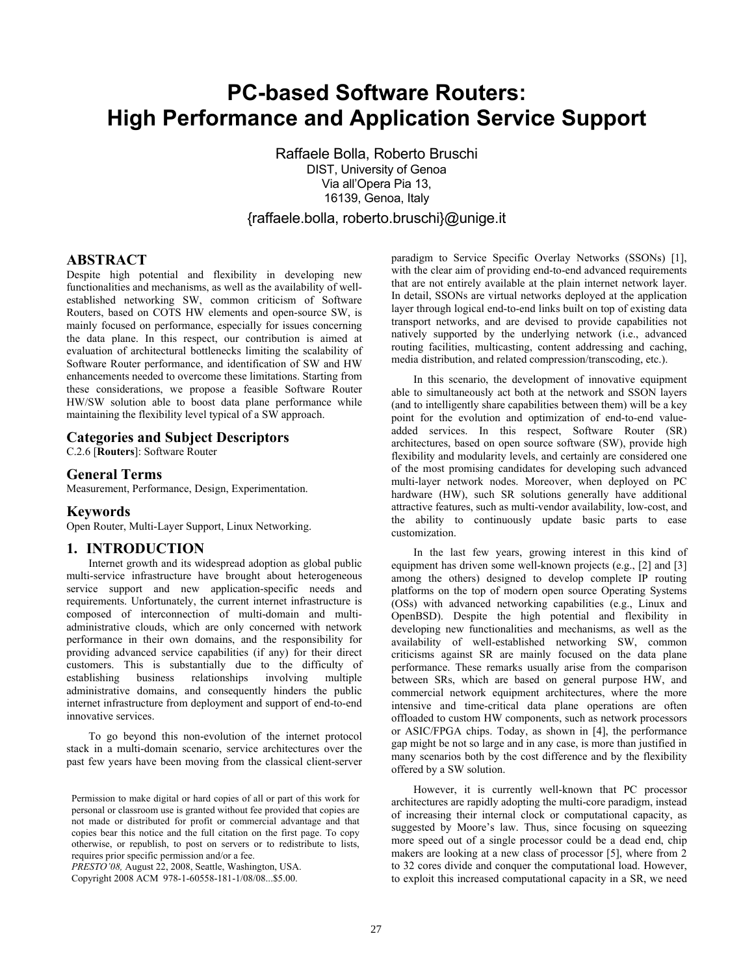# **PC-based Software Routers: High Performance and Application Service Support**

Raffaele Bolla, Roberto Bruschi DIST, University of Genoa Via all'Opera Pia 13, 16139, Genoa, Italy

{raffaele.bolla, roberto.bruschi}@unige.it

## **ABSTRACT**

Despite high potential and flexibility in developing new functionalities and mechanisms, as well as the availability of wellestablished networking SW, common criticism of Software Routers, based on COTS HW elements and open-source SW, is mainly focused on performance, especially for issues concerning the data plane. In this respect, our contribution is aimed at evaluation of architectural bottlenecks limiting the scalability of Software Router performance, and identification of SW and HW enhancements needed to overcome these limitations. Starting from these considerations, we propose a feasible Software Router HW/SW solution able to boost data plane performance while maintaining the flexibility level typical of a SW approach.

# **Categories and Subject Descriptors**

C.2.6 [**Routers**]: Software Router

## **General Terms**

Measurement, Performance, Design, Experimentation.

#### **Keywords**

Open Router, Multi-Layer Support, Linux Networking.

## **1. INTRODUCTION**

Internet growth and its widespread adoption as global public multi-service infrastructure have brought about heterogeneous service support and new application-specific needs and requirements. Unfortunately, the current internet infrastructure is composed of interconnection of multi-domain and multiadministrative clouds, which are only concerned with network performance in their own domains, and the responsibility for providing advanced service capabilities (if any) for their direct customers. This is substantially due to the difficulty of establishing business relationships involving multiple administrative domains, and consequently hinders the public internet infrastructure from deployment and support of end-to-end innovative services.

To go beyond this non-evolution of the internet protocol stack in a multi-domain scenario, service architectures over the past few years have been moving from the classical client-server

*PRESTO'08,* August 22, 2008, Seattle, Washington, USA.

Copyright 2008 ACM 978-1-60558-181-1/08/08...\$5.00.

paradigm to Service Specific Overlay Networks (SSONs) [1], with the clear aim of providing end-to-end advanced requirements that are not entirely available at the plain internet network layer. In detail, SSONs are virtual networks deployed at the application layer through logical end-to-end links built on top of existing data transport networks, and are devised to provide capabilities not natively supported by the underlying network (i.e., advanced routing facilities, multicasting, content addressing and caching, media distribution, and related compression/transcoding, etc.).

In this scenario, the development of innovative equipment able to simultaneously act both at the network and SSON layers (and to intelligently share capabilities between them) will be a key point for the evolution and optimization of end-to-end valueadded services. In this respect, Software Router (SR) architectures, based on open source software (SW), provide high flexibility and modularity levels, and certainly are considered one of the most promising candidates for developing such advanced multi-layer network nodes. Moreover, when deployed on PC hardware (HW), such SR solutions generally have additional attractive features, such as multi-vendor availability, low-cost, and the ability to continuously update basic parts to ease customization.

In the last few years, growing interest in this kind of equipment has driven some well-known projects (e.g., [2] and [3] among the others) designed to develop complete IP routing platforms on the top of modern open source Operating Systems (OSs) with advanced networking capabilities (e.g., Linux and OpenBSD). Despite the high potential and flexibility in developing new functionalities and mechanisms, as well as the availability of well-established networking SW, common criticisms against SR are mainly focused on the data plane performance. These remarks usually arise from the comparison between SRs, which are based on general purpose HW, and commercial network equipment architectures, where the more intensive and time-critical data plane operations are often offloaded to custom HW components, such as network processors or ASIC/FPGA chips. Today, as shown in [4], the performance gap might be not so large and in any case, is more than justified in many scenarios both by the cost difference and by the flexibility offered by a SW solution.

However, it is currently well-known that PC processor architectures are rapidly adopting the multi-core paradigm, instead of increasing their internal clock or computational capacity, as suggested by Moore's law. Thus, since focusing on squeezing more speed out of a single processor could be a dead end, chip makers are looking at a new class of processor [5], where from 2 to 32 cores divide and conquer the computational load. However, to exploit this increased computational capacity in a SR, we need

Permission to make digital or hard copies of all or part of this work for personal or classroom use is granted without fee provided that copies are not made or distributed for profit or commercial advantage and that copies bear this notice and the full citation on the first page. To copy otherwise, or republish, to post on servers or to redistribute to lists, requires prior specific permission and/or a fee.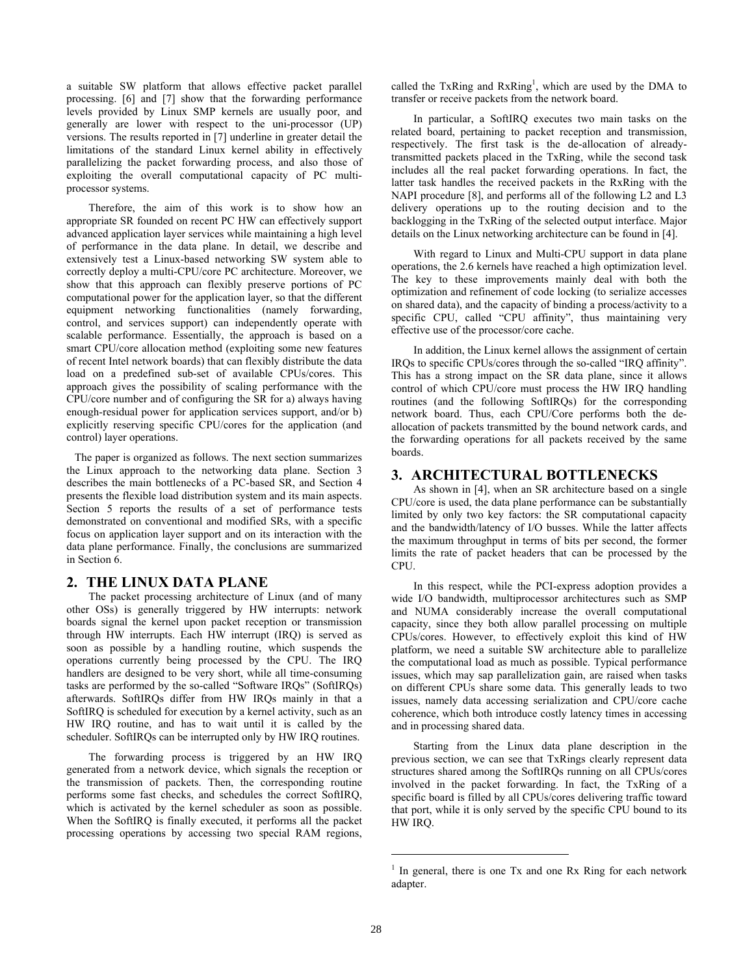a suitable SW platform that allows effective packet parallel processing. [6] and [7] show that the forwarding performance levels provided by Linux SMP kernels are usually poor, and generally are lower with respect to the uni-processor (UP) versions. The results reported in [7] underline in greater detail the limitations of the standard Linux kernel ability in effectively parallelizing the packet forwarding process, and also those of exploiting the overall computational capacity of PC multiprocessor systems.

Therefore, the aim of this work is to show how an appropriate SR founded on recent PC HW can effectively support advanced application layer services while maintaining a high level of performance in the data plane. In detail, we describe and extensively test a Linux-based networking SW system able to correctly deploy a multi-CPU/core PC architecture. Moreover, we show that this approach can flexibly preserve portions of PC computational power for the application layer, so that the different equipment networking functionalities (namely forwarding, control, and services support) can independently operate with scalable performance. Essentially, the approach is based on a smart CPU/core allocation method (exploiting some new features of recent Intel network boards) that can flexibly distribute the data load on a predefined sub-set of available CPUs/cores. This approach gives the possibility of scaling performance with the CPU/core number and of configuring the SR for a) always having enough-residual power for application services support, and/or b) explicitly reserving specific CPU/cores for the application (and control) layer operations.

 The paper is organized as follows. The next section summarizes the Linux approach to the networking data plane. Section 3 describes the main bottlenecks of a PC-based SR, and Section 4 presents the flexible load distribution system and its main aspects. Section 5 reports the results of a set of performance tests demonstrated on conventional and modified SRs, with a specific focus on application layer support and on its interaction with the data plane performance. Finally, the conclusions are summarized in Section 6.

# **2. THE LINUX DATA PLANE**

The packet processing architecture of Linux (and of many other OSs) is generally triggered by HW interrupts: network boards signal the kernel upon packet reception or transmission through HW interrupts. Each HW interrupt (IRQ) is served as soon as possible by a handling routine, which suspends the operations currently being processed by the CPU. The IRQ handlers are designed to be very short, while all time-consuming tasks are performed by the so-called "Software IRQs" (SoftIRQs) afterwards. SoftIRQs differ from HW IRQs mainly in that a SoftIRQ is scheduled for execution by a kernel activity, such as an HW IRQ routine, and has to wait until it is called by the scheduler. SoftIRQs can be interrupted only by HW IRQ routines.

The forwarding process is triggered by an HW IRQ generated from a network device, which signals the reception or the transmission of packets. Then, the corresponding routine performs some fast checks, and schedules the correct SoftIRQ, which is activated by the kernel scheduler as soon as possible. When the SoftIRQ is finally executed, it performs all the packet processing operations by accessing two special RAM regions,

called the TxRing and  $RxRing<sup>1</sup>$ , which are used by the DMA to transfer or receive packets from the network board.

In particular, a SoftIRQ executes two main tasks on the related board, pertaining to packet reception and transmission, respectively. The first task is the de-allocation of alreadytransmitted packets placed in the TxRing, while the second task includes all the real packet forwarding operations. In fact, the latter task handles the received packets in the RxRing with the NAPI procedure [8], and performs all of the following L2 and L3 delivery operations up to the routing decision and to the backlogging in the TxRing of the selected output interface. Major details on the Linux networking architecture can be found in [4].

With regard to Linux and Multi-CPU support in data plane operations, the 2.6 kernels have reached a high optimization level. The key to these improvements mainly deal with both the optimization and refinement of code locking (to serialize accesses on shared data), and the capacity of binding a process/activity to a specific CPU, called "CPU affinity", thus maintaining very effective use of the processor/core cache.

In addition, the Linux kernel allows the assignment of certain IRQs to specific CPUs/cores through the so-called "IRQ affinity". This has a strong impact on the SR data plane, since it allows control of which CPU/core must process the HW IRQ handling routines (and the following SoftIRQs) for the corresponding network board. Thus, each CPU/Core performs both the deallocation of packets transmitted by the bound network cards, and the forwarding operations for all packets received by the same boards.

## **3. ARCHITECTURAL BOTTLENECKS**

As shown in [4], when an SR architecture based on a single CPU/core is used, the data plane performance can be substantially limited by only two key factors: the SR computational capacity and the bandwidth/latency of I/O busses. While the latter affects the maximum throughput in terms of bits per second, the former limits the rate of packet headers that can be processed by the CPU.

In this respect, while the PCI-express adoption provides a wide I/O bandwidth, multiprocessor architectures such as SMP and NUMA considerably increase the overall computational capacity, since they both allow parallel processing on multiple CPUs/cores. However, to effectively exploit this kind of HW platform, we need a suitable SW architecture able to parallelize the computational load as much as possible. Typical performance issues, which may sap parallelization gain, are raised when tasks on different CPUs share some data. This generally leads to two issues, namely data accessing serialization and CPU/core cache coherence, which both introduce costly latency times in accessing and in processing shared data.

Starting from the Linux data plane description in the previous section, we can see that TxRings clearly represent data structures shared among the SoftIRQs running on all CPUs/cores involved in the packet forwarding. In fact, the TxRing of a specific board is filled by all CPUs/cores delivering traffic toward that port, while it is only served by the specific CPU bound to its HW IRQ.

1

 $<sup>1</sup>$  In general, there is one Tx and one Rx Ring for each network</sup> adapter.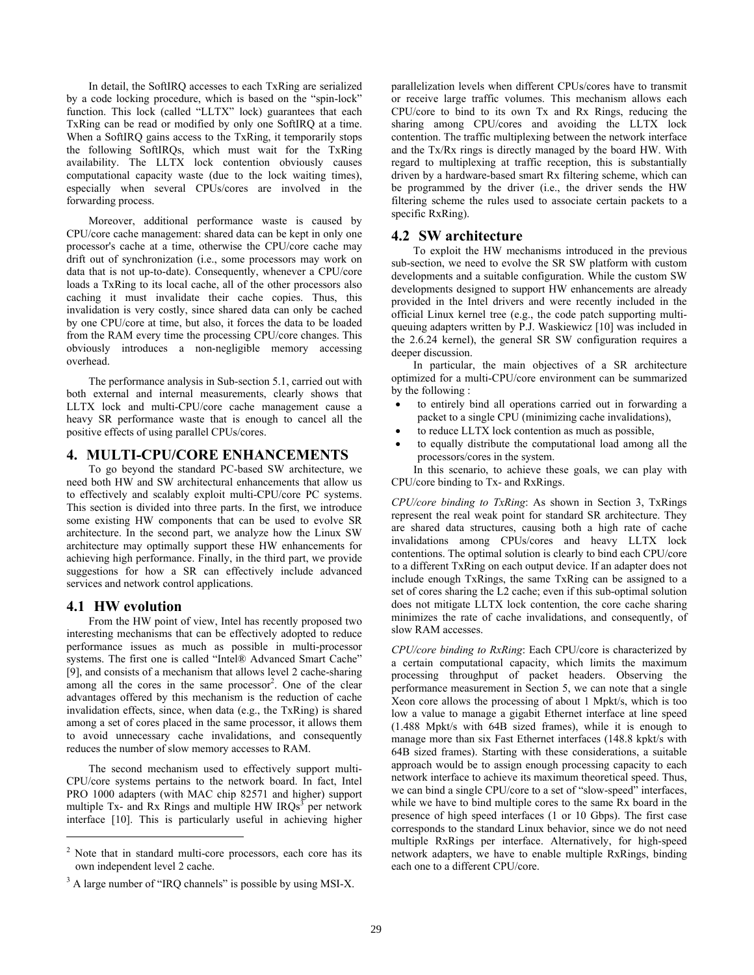In detail, the SoftIRQ accesses to each TxRing are serialized by a code locking procedure, which is based on the "spin-lock" function. This lock (called "LLTX" lock) guarantees that each TxRing can be read or modified by only one SoftIRQ at a time. When a SoftIRQ gains access to the TxRing, it temporarily stops the following SoftIRQs, which must wait for the TxRing availability. The LLTX lock contention obviously causes computational capacity waste (due to the lock waiting times), especially when several CPUs/cores are involved in the forwarding process.

Moreover, additional performance waste is caused by CPU/core cache management: shared data can be kept in only one processor's cache at a time, otherwise the CPU/core cache may drift out of synchronization (i.e., some processors may work on data that is not up-to-date). Consequently, whenever a CPU/core loads a TxRing to its local cache, all of the other processors also caching it must invalidate their cache copies. Thus, this invalidation is very costly, since shared data can only be cached by one CPU/core at time, but also, it forces the data to be loaded from the RAM every time the processing CPU/core changes. This obviously introduces a non-negligible memory accessing overhead.

The performance analysis in Sub-section 5.1, carried out with both external and internal measurements, clearly shows that LLTX lock and multi-CPU/core cache management cause a heavy SR performance waste that is enough to cancel all the positive effects of using parallel CPUs/cores.

## **4. MULTI-CPU/CORE ENHANCEMENTS**

To go beyond the standard PC-based SW architecture, we need both HW and SW architectural enhancements that allow us to effectively and scalably exploit multi-CPU/core PC systems. This section is divided into three parts. In the first, we introduce some existing HW components that can be used to evolve SR architecture. In the second part, we analyze how the Linux SW architecture may optimally support these HW enhancements for achieving high performance. Finally, in the third part, we provide suggestions for how a SR can effectively include advanced services and network control applications.

## **4.1 HW evolution**

1

From the HW point of view, Intel has recently proposed two interesting mechanisms that can be effectively adopted to reduce performance issues as much as possible in multi-processor systems. The first one is called "Intel® Advanced Smart Cache" [9], and consists of a mechanism that allows level 2 cache-sharing among all the cores in the same processor<sup>2</sup>. One of the clear advantages offered by this mechanism is the reduction of cache invalidation effects, since, when data (e.g., the TxRing) is shared among a set of cores placed in the same processor, it allows them to avoid unnecessary cache invalidations, and consequently reduces the number of slow memory accesses to RAM.

The second mechanism used to effectively support multi-CPU/core systems pertains to the network board. In fact, Intel PRO 1000 adapters (with MAC chip 82571 and higher) support multiple Tx- and Rx Rings and multiple HW  $IRQs<sup>3</sup>$  per network interface [10]. This is particularly useful in achieving higher

parallelization levels when different CPUs/cores have to transmit or receive large traffic volumes. This mechanism allows each CPU/core to bind to its own Tx and Rx Rings, reducing the sharing among CPU/cores and avoiding the LLTX lock contention. The traffic multiplexing between the network interface and the Tx/Rx rings is directly managed by the board HW. With regard to multiplexing at traffic reception, this is substantially driven by a hardware-based smart Rx filtering scheme, which can be programmed by the driver (i.e., the driver sends the HW filtering scheme the rules used to associate certain packets to a specific RxRing).

## **4.2 SW architecture**

To exploit the HW mechanisms introduced in the previous sub-section, we need to evolve the SR SW platform with custom developments and a suitable configuration. While the custom SW developments designed to support HW enhancements are already provided in the Intel drivers and were recently included in the official Linux kernel tree (e.g., the code patch supporting multiqueuing adapters written by P.J. Waskiewicz [10] was included in the 2.6.24 kernel), the general SR SW configuration requires a deeper discussion.

In particular, the main objectives of a SR architecture optimized for a multi-CPU/core environment can be summarized by the following :

- to entirely bind all operations carried out in forwarding a packet to a single CPU (minimizing cache invalidations),
- to reduce LLTX lock contention as much as possible,
- to equally distribute the computational load among all the processors/cores in the system.

In this scenario, to achieve these goals, we can play with CPU/core binding to Tx- and RxRings.

*CPU/core binding to TxRing*: As shown in Section 3, TxRings represent the real weak point for standard SR architecture. They are shared data structures, causing both a high rate of cache invalidations among CPUs/cores and heavy LLTX lock contentions. The optimal solution is clearly to bind each CPU/core to a different TxRing on each output device. If an adapter does not include enough TxRings, the same TxRing can be assigned to a set of cores sharing the L2 cache; even if this sub-optimal solution does not mitigate LLTX lock contention, the core cache sharing minimizes the rate of cache invalidations, and consequently, of slow RAM accesses.

*CPU/core binding to RxRing*: Each CPU/core is characterized by a certain computational capacity, which limits the maximum processing throughput of packet headers. Observing the performance measurement in Section 5, we can note that a single Xeon core allows the processing of about 1 Mpkt/s, which is too low a value to manage a gigabit Ethernet interface at line speed (1.488 Mpkt/s with 64B sized frames), while it is enough to manage more than six Fast Ethernet interfaces (148.8 kpkt/s with 64B sized frames). Starting with these considerations, a suitable approach would be to assign enough processing capacity to each network interface to achieve its maximum theoretical speed. Thus, we can bind a single CPU/core to a set of "slow-speed" interfaces, while we have to bind multiple cores to the same Rx board in the presence of high speed interfaces (1 or 10 Gbps). The first case corresponds to the standard Linux behavior, since we do not need multiple RxRings per interface. Alternatively, for high-speed network adapters, we have to enable multiple RxRings, binding each one to a different CPU/core.

<sup>&</sup>lt;sup>2</sup> Note that in standard multi-core processors, each core has its own independent level 2 cache.

<sup>&</sup>lt;sup>3</sup> A large number of "IRQ channels" is possible by using MSI-X.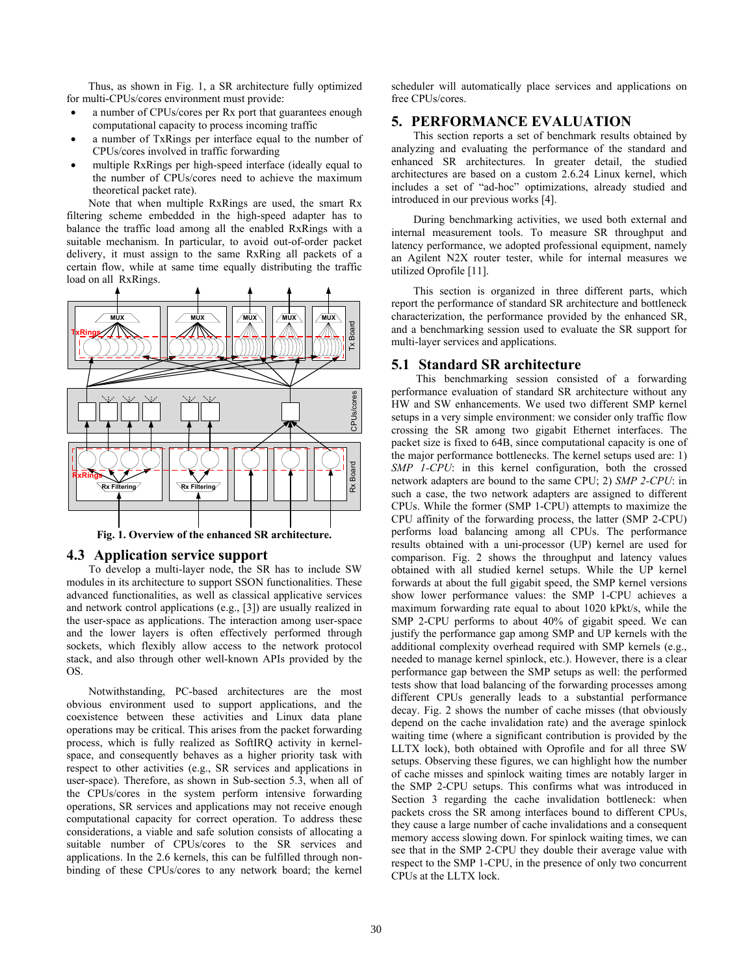Thus, as shown in Fig. 1, a SR architecture fully optimized for multi-CPUs/cores environment must provide:

- a number of CPUs/cores per Rx port that guarantees enough computational capacity to process incoming traffic
- a number of TxRings per interface equal to the number of CPUs/cores involved in traffic forwarding
- multiple RxRings per high-speed interface (ideally equal to the number of CPUs/cores need to achieve the maximum theoretical packet rate).

Note that when multiple RxRings are used, the smart Rx filtering scheme embedded in the high-speed adapter has to balance the traffic load among all the enabled RxRings with a suitable mechanism. In particular, to avoid out-of-order packet delivery, it must assign to the same RxRing all packets of a certain flow, while at same time equally distributing the traffic load on all RxRings.



**Fig. 1. Overview of the enhanced SR architecture.** 

## **4.3 Application service support**

To develop a multi-layer node, the SR has to include SW modules in its architecture to support SSON functionalities. These advanced functionalities, as well as classical applicative services and network control applications (e.g., [3]) are usually realized in the user-space as applications. The interaction among user-space and the lower layers is often effectively performed through sockets, which flexibly allow access to the network protocol stack, and also through other well-known APIs provided by the OS.

Notwithstanding, PC-based architectures are the most obvious environment used to support applications, and the coexistence between these activities and Linux data plane operations may be critical. This arises from the packet forwarding process, which is fully realized as SoftIRQ activity in kernelspace, and consequently behaves as a higher priority task with respect to other activities (e.g., SR services and applications in user-space). Therefore, as shown in Sub-section 5.3, when all of the CPUs/cores in the system perform intensive forwarding operations, SR services and applications may not receive enough computational capacity for correct operation. To address these considerations, a viable and safe solution consists of allocating a suitable number of CPUs/cores to the SR services and applications. In the 2.6 kernels, this can be fulfilled through nonbinding of these CPUs/cores to any network board; the kernel scheduler will automatically place services and applications on free CPUs/cores.

## **5. PERFORMANCE EVALUATION**

This section reports a set of benchmark results obtained by analyzing and evaluating the performance of the standard and enhanced SR architectures. In greater detail, the studied architectures are based on a custom 2.6.24 Linux kernel, which includes a set of "ad-hoc" optimizations, already studied and introduced in our previous works [4].

During benchmarking activities, we used both external and internal measurement tools. To measure SR throughput and latency performance, we adopted professional equipment, namely an Agilent N2X router tester, while for internal measures we utilized Oprofile [11].

This section is organized in three different parts, which report the performance of standard SR architecture and bottleneck characterization, the performance provided by the enhanced SR, and a benchmarking session used to evaluate the SR support for multi-layer services and applications.

#### **5.1 Standard SR architecture**

 This benchmarking session consisted of a forwarding performance evaluation of standard SR architecture without any HW and SW enhancements. We used two different SMP kernel setups in a very simple environment: we consider only traffic flow crossing the SR among two gigabit Ethernet interfaces. The packet size is fixed to 64B, since computational capacity is one of the major performance bottlenecks. The kernel setups used are: 1) *SMP 1-CPU*: in this kernel configuration, both the crossed network adapters are bound to the same CPU; 2) *SMP 2-CPU*: in such a case, the two network adapters are assigned to different CPUs. While the former (SMP 1-CPU) attempts to maximize the CPU affinity of the forwarding process, the latter (SMP 2-CPU) performs load balancing among all CPUs. The performance results obtained with a uni-processor (UP) kernel are used for comparison. Fig. 2 shows the throughput and latency values obtained with all studied kernel setups. While the UP kernel forwards at about the full gigabit speed, the SMP kernel versions show lower performance values: the SMP 1-CPU achieves a maximum forwarding rate equal to about 1020 kPkt/s, while the SMP 2-CPU performs to about 40% of gigabit speed. We can justify the performance gap among SMP and UP kernels with the additional complexity overhead required with SMP kernels (e.g., needed to manage kernel spinlock, etc.). However, there is a clear performance gap between the SMP setups as well: the performed tests show that load balancing of the forwarding processes among different CPUs generally leads to a substantial performance decay. Fig. 2 shows the number of cache misses (that obviously depend on the cache invalidation rate) and the average spinlock waiting time (where a significant contribution is provided by the LLTX lock), both obtained with Oprofile and for all three SW setups. Observing these figures, we can highlight how the number of cache misses and spinlock waiting times are notably larger in the SMP 2-CPU setups. This confirms what was introduced in Section 3 regarding the cache invalidation bottleneck: when packets cross the SR among interfaces bound to different CPUs, they cause a large number of cache invalidations and a consequent memory access slowing down. For spinlock waiting times, we can see that in the SMP 2-CPU they double their average value with respect to the SMP 1-CPU, in the presence of only two concurrent CPUs at the LLTX lock.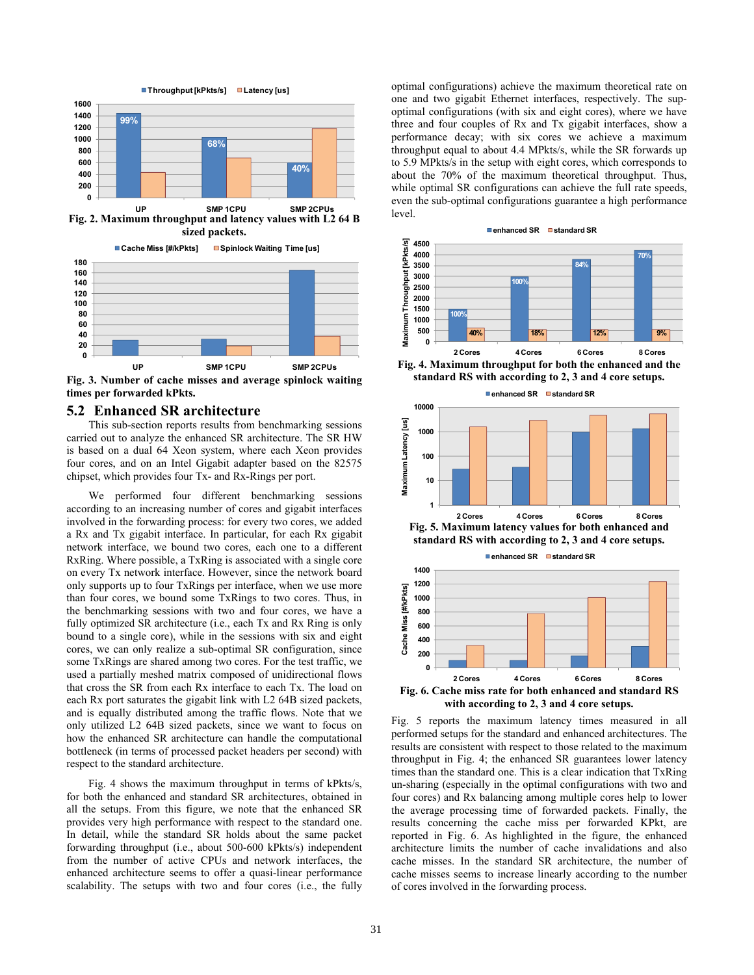

**Fig. 3. Number of cache misses and average spinlock waiting times per forwarded kPkts.** 

#### **5.2 Enhanced SR architecture**

This sub-section reports results from benchmarking sessions carried out to analyze the enhanced SR architecture. The SR HW is based on a dual 64 Xeon system, where each Xeon provides four cores, and on an Intel Gigabit adapter based on the 82575 chipset, which provides four Tx- and Rx-Rings per port.

We performed four different benchmarking sessions according to an increasing number of cores and gigabit interfaces involved in the forwarding process: for every two cores, we added a Rx and Tx gigabit interface. In particular, for each Rx gigabit network interface, we bound two cores, each one to a different RxRing. Where possible, a TxRing is associated with a single core on every Tx network interface. However, since the network board only supports up to four TxRings per interface, when we use more than four cores, we bound some TxRings to two cores. Thus, in the benchmarking sessions with two and four cores, we have a fully optimized SR architecture (i.e., each Tx and Rx Ring is only bound to a single core), while in the sessions with six and eight cores, we can only realize a sub-optimal SR configuration, since some TxRings are shared among two cores. For the test traffic, we used a partially meshed matrix composed of unidirectional flows that cross the SR from each Rx interface to each Tx. The load on each Rx port saturates the gigabit link with L2 64B sized packets, and is equally distributed among the traffic flows. Note that we only utilized L2 64B sized packets, since we want to focus on how the enhanced SR architecture can handle the computational bottleneck (in terms of processed packet headers per second) with respect to the standard architecture.

Fig. 4 shows the maximum throughput in terms of kPkts/s, for both the enhanced and standard SR architectures, obtained in all the setups. From this figure, we note that the enhanced SR provides very high performance with respect to the standard one. In detail, while the standard SR holds about the same packet forwarding throughput (i.e., about 500-600 kPkts/s) independent from the number of active CPUs and network interfaces, the enhanced architecture seems to offer a quasi-linear performance scalability. The setups with two and four cores (i.e., the fully

optimal configurations) achieve the maximum theoretical rate on one and two gigabit Ethernet interfaces, respectively. The supoptimal configurations (with six and eight cores), where we have three and four couples of Rx and Tx gigabit interfaces, show a performance decay; with six cores we achieve a maximum throughput equal to about 4.4 MPkts/s, while the SR forwards up to 5.9 MPkts/s in the setup with eight cores, which corresponds to about the 70% of the maximum theoretical throughput. Thus, while optimal SR configurations can achieve the full rate speeds, even the sub-optimal configurations guarantee a high performance level.



**Fig. 4. Maximum throughput for both the enhanced and the standard RS with according to 2, 3 and 4 core setups.** 





Fig. 5 reports the maximum latency times measured in all performed setups for the standard and enhanced architectures. The results are consistent with respect to those related to the maximum throughput in Fig. 4; the enhanced SR guarantees lower latency times than the standard one. This is a clear indication that TxRing un-sharing (especially in the optimal configurations with two and four cores) and Rx balancing among multiple cores help to lower the average processing time of forwarded packets. Finally, the results concerning the cache miss per forwarded KPkt, are reported in Fig. 6. As highlighted in the figure, the enhanced architecture limits the number of cache invalidations and also cache misses. In the standard SR architecture, the number of cache misses seems to increase linearly according to the number of cores involved in the forwarding process.